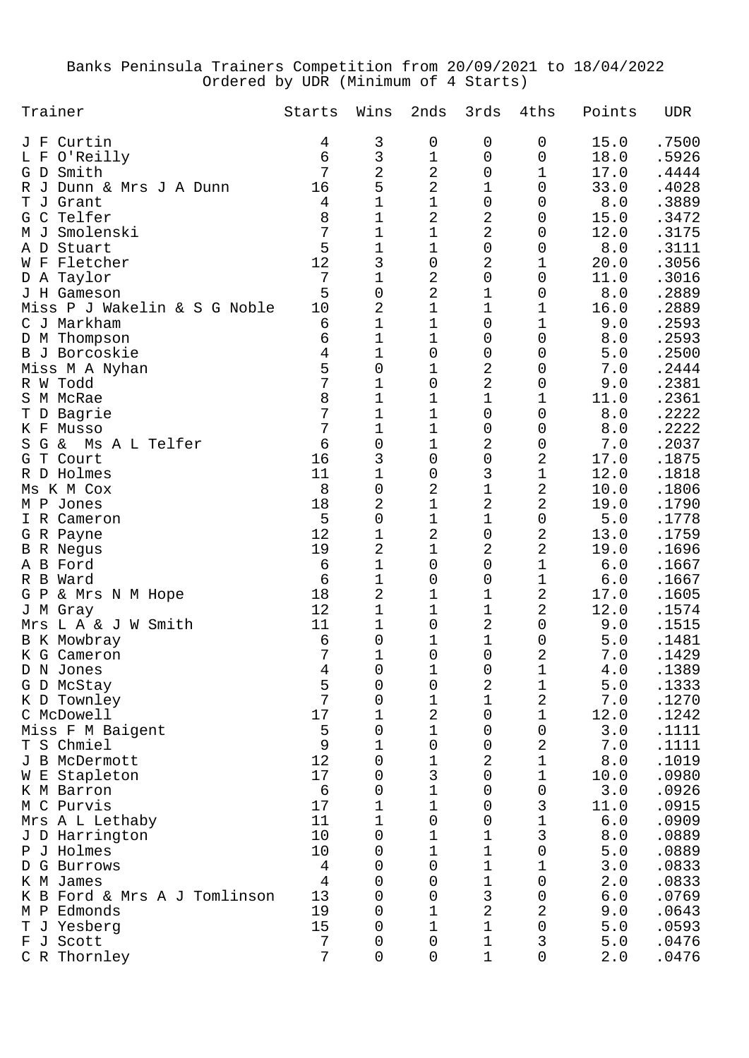## Banks Peninsula Trainers Competition from 20/09/2021 to 18/04/2022 Ordered by UDR (Minimum of 4 Starts)

| Trainer                      | Starts | Wins                | 2nds           | 3rds                | 4ths                | Points      | <b>UDR</b> |
|------------------------------|--------|---------------------|----------------|---------------------|---------------------|-------------|------------|
| Curtin<br>J F                | 4      | 3                   | 0              | 0                   | 0                   | 15.0        | .7500      |
| O'Reilly<br>L F              | 6      | 3                   | $\mathbf 1$    | 0                   | 0                   | 18.0        | .5926      |
| G D Smith                    | 7      | $\overline{a}$      | $\mathbf 2$    | 0                   | 1                   | 17.0        | .4444      |
| R J Dunn & Mrs J A Dunn      | 16     | 5                   | $\overline{a}$ | 1                   | 0                   | 33.0        | .4028      |
| Grant<br>T J                 | 4      | $\mathbf 1$         | $\mathbf 1$    | $\mathbf 0$         | 0                   | 8.0         | .3889      |
| Telfer<br>G C                | 8      | $\mathbf 1$         | $\mathbf 2$    | 2                   | 0                   | 15.0        | .3472      |
| Smolenski<br>M J             | 7      | $\mathbf 1$         | $\mathbf 1$    | 2                   | 0                   | 12.0        | .3175      |
| A D<br>Stuart                | 5      | $\mathbf 1$         | $\mathbf 1$    | $\mathsf{O}\xspace$ | 0                   | 8.0         | .3111      |
| W F Fletcher                 | 12     | 3                   | $\mathbf 0$    | 2                   | 1                   | 20.0        | .3056      |
| D A Taylor                   | 7      | $1\,$               | 2              | $\mathbf 0$         | 0                   | 11.0        | .3016      |
| J H Gameson                  | 5      | $\mathsf{O}\xspace$ | $\overline{2}$ | 1                   | 0                   | 8.0         | .2889      |
| Miss P J Wakelin & S G Noble | 10     | $\overline{2}$      | $\mathbf 1$    | 1                   | 1                   | 16.0        | .2889      |
| C J Markham                  | 6      | $\mathbf 1$         | $\mathbf 1$    | 0                   | 1                   | 9.0         | .2593      |
| D M Thompson                 | 6      | $\mathbf 1$         | $\mathbf 1$    | 0                   | 0                   | 8.0         | .2593      |
| B J Borcoskie                | 4      | 1                   | $\mathbf 0$    | 0                   | 0                   | 5.0         | .2500      |
| Miss M A Nyhan               | 5      | 0                   | 1              | 2                   | 0                   | 7.0         | .2444      |
| R W Todd                     | 7      | 1                   | $\mathbf 0$    | $\overline{2}$      | 0                   | 9.0         | .2381      |
| S M McRae                    | 8      | $\mathbf 1$         | $\mathbf 1$    | 1                   | 1                   | 11.0        | .2361      |
| T D Bagrie                   | 7      | $\mathbf 1$         | $\mathbf 1$    | $\mathbf 0$         | 0                   | 8.0         | .2222      |
| K F Musso                    | 7      | 1                   | $\mathbf 1$    | 0                   | 0                   | 8.0         | .2222      |
| G &<br>Ms A L Telfer<br>S    | 6      | 0                   | $\mathbf 1$    | 2                   | 0                   | 7.0         | .2037      |
| Court<br>T.<br>G             | 16     | 3                   | $\mathbf 0$    | $\mathsf{O}\xspace$ | $\overline{2}$      | 17.0        | .1875      |
| R D Holmes                   | 11     | $\mathbf 1$         | 0              | 3                   | $\mathbf 1$         | 12.0        | .1818      |
| Ms K M Cox                   | 8      | $\mathsf{O}\xspace$ | $\overline{a}$ | $\mathbf 1$         | $\overline{2}$      | 10.0        | .1806      |
| M P Jones                    | 18     | 2                   | $\mathbf 1$    | 2                   | $\overline{2}$      | 19.0        | .1790      |
| I R Cameron                  | 5      | $\mathsf{O}\xspace$ | $\mathbf 1$    | 1                   | 0                   | 5.0         | .1778      |
| G R Payne                    | 12     | 1                   | $\overline{a}$ | $\mathbf 0$         | $\overline{2}$      | 13.0        | .1759      |
| <b>B</b> R Negus             | 19     | 2                   | $\mathbf 1$    | 2                   | $\overline{2}$      | 19.0        | .1696      |
| A B Ford                     | 6      | $\mathbf 1$         | 0              | $\mathbf 0$         | 1                   | 6.0         | .1667      |
| R B Ward                     | 6      | 1                   | 0              | 0                   | 1                   | 6.0         | .1667      |
| G P<br>& Mrs N M Hope        | 18     | $\overline{c}$      | 1              | 1                   | $\overline{2}$      | 17.0        | .1605      |
| J M Gray                     | 12     | $\mathbf 1$         | 1              | 1                   | $\overline{2}$      | 12.0        | .1574      |
| Mrs L A & J W Smith          | 11     | 1                   | 0              | 2                   | 0                   | 9.0         | .1515      |
| B K Mowbray                  | 6      | 0                   | 1              | 1                   | 0                   | 5.0         | .1481      |
| K G Cameron                  | 7      | 1                   | 0              | 0                   | 2                   | $7.0$       | .1429      |
| D N Jones                    | 4      | $\mathsf{O}\xspace$ | $\mathbf 1$    | $\mathsf{O}\xspace$ | $\mathbf 1$         | 4.0         | .1389      |
| G D McStay                   | 5      | 0                   | 0              | 2                   | 1                   | 5.0         | .1333      |
| K D Townley                  | 7      | 0                   | 1              | 1                   | $\overline{2}$      | 7.0         | .1270      |
| C McDowell                   | 17     | 1                   | $\overline{a}$ | $\mathbf 0$         | 1                   | 12.0        | .1242      |
| Miss F M Baigent             | 5      | 0                   | $\mathbf 1$    | $\mathbf 0$         | 0                   | 3.0         | .1111      |
| T S Chmiel                   | 9      | 1                   | $\mathbf 0$    | 0                   | 2                   | 7.0         | .1111      |
| J B McDermott                | 12     | 0                   | 1              | 2                   | $\mathbf 1$         | $\,8$ . $0$ | .1019      |
| W E Stapleton                | 17     | 0                   | 3              | $\mathbf 0$         | 1                   | 10.0        | .0980      |
| K M Barron                   | 6      | 0                   | 1              | 0                   | 0                   | 3.0         | .0926      |
| M C Purvis                   | 17     | 1                   | $\mathbf 1$    | 0                   | 3                   | 11.0        | .0915      |
| Mrs A L Lethaby              | 11     | 1                   | $\mathbf 0$    | 0                   | $\mathbf 1$         | $6.0$       | .0909      |
| J D Harrington               | 10     | 0                   | 1              | 1                   | 3                   | 8.0         | .0889      |
| P J Holmes                   | 10     | 0                   | 1              | 1                   | 0                   | $5.0$       | .0889      |
| G Burrows<br>D               | 4      | 0                   | $\mathbf 0$    | 1                   | 1                   | $3.0$       | .0833      |
| K M James                    | 4      | 0                   | 0              | 1                   | $\mathbf 0$         | 2.0         | .0833      |
| K B Ford & Mrs A J Tomlinson | 13     | 0                   | 0              | 3                   | 0                   | $6.0$       | .0769      |
| $M$ $P$<br>Edmonds           | 19     | 0                   | 1              | 2                   | $\overline{2}$      | 9.0         | .0643      |
| T J Yesberg                  | 15     | 0                   | $\mathbf 1$    | 1                   | $\mathsf{O}\xspace$ | $5.0$       | .0593      |
| F J Scott                    | 7      | 0                   | 0              | 1                   | 3                   | $5.0$       | .0476      |
| C R Thornley                 | 7      | 0                   | $\mathbf 0$    | 1                   | 0                   | 2.0         | .0476      |